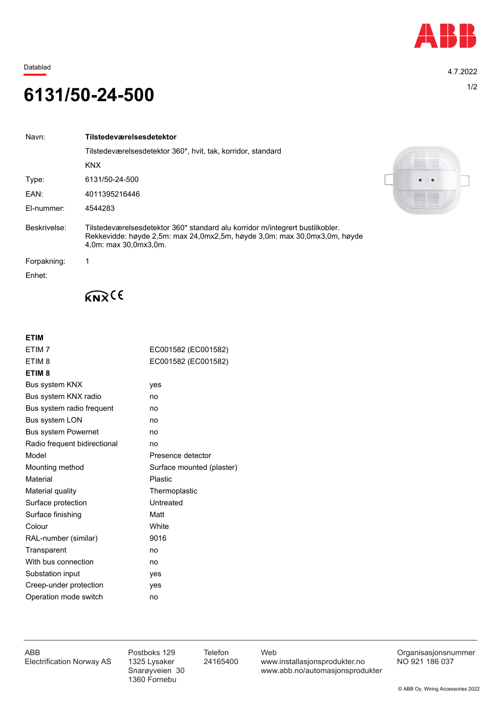

Datablad 4.7.2022

## 1/2 **6131/50-24-500**

| Navn:        | Tilstedeværelsesdetektor                                                                                                                                                            |
|--------------|-------------------------------------------------------------------------------------------------------------------------------------------------------------------------------------|
|              | Tilstedeværelsesdetektor 360*, hvit, tak, korridor, standard                                                                                                                        |
|              | <b>KNX</b>                                                                                                                                                                          |
| Type:        | 6131/50-24-500                                                                                                                                                                      |
| EAN:         | 4011395216446                                                                                                                                                                       |
| El-nummer:   | 4544283                                                                                                                                                                             |
| Beskrivelse: | Tilstedeværelsesdetektor 360* standard alu korridor m/integrert bustilkobler.<br>Rekkevidde: høyde 2,5m: max 24,0mx2,5m, høyde 3,0m: max 30,0mx3,0m, høyde<br>4.0m: max 30.0mx3.0m. |
| Forpakning:  |                                                                                                                                                                                     |
| Enhet:       |                                                                                                                                                                                     |



 $K_{\mathbf{N}}(6)$ 

## **ETIM**

| ETIM <sub>7</sub>            | EC001582 (EC001582)       |  |
|------------------------------|---------------------------|--|
| ETIM <sub>8</sub>            | EC001582 (EC001582)       |  |
| ETIM <sub>8</sub>            |                           |  |
| <b>Bus system KNX</b>        | yes                       |  |
| Bus system KNX radio         | no                        |  |
| Bus system radio frequent    | no                        |  |
| Bus system LON               | no                        |  |
| <b>Bus system Powernet</b>   | no                        |  |
| Radio frequent bidirectional | no                        |  |
| Model                        | Presence detector         |  |
| Mounting method              | Surface mounted (plaster) |  |
| Material                     | <b>Plastic</b>            |  |
| Material quality             | Thermoplastic             |  |
| Surface protection           | Untreated                 |  |
| Surface finishing            | Matt                      |  |
| Colour                       | White                     |  |
| RAL-number (similar)         | 9016                      |  |
| Transparent                  | no                        |  |
| With bus connection          | no                        |  |
| Substation input             | yes                       |  |
| Creep-under protection       | ves                       |  |
| Operation mode switch        | no                        |  |

1360 Fornebu

ABB Postboks 129 Telefon Web Postboks 129 Telefon Web Crganisasjonsnummer<br>Electrification Norway AS 1325 Lysaker 24165400 www.installasjonsprodukter.no NO 921 186 037 1325 Lysaker 24165400 www.installasjonsprodukter.no<br>Snarøyveien 30 www.abb.no/automasjonsprodu www.abb.no/automasjonsprodukter